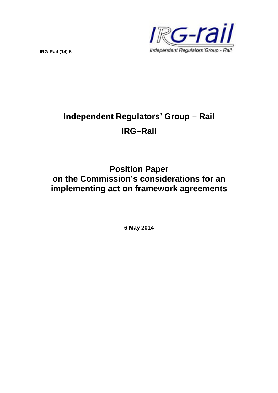

**IRG-Rail (14) 6**

# **Independent Regulators' Group – Rail IRG–Rail**

# **Position Paper on the Commission's considerations for an implementing act on framework agreements**

**6 May 2014**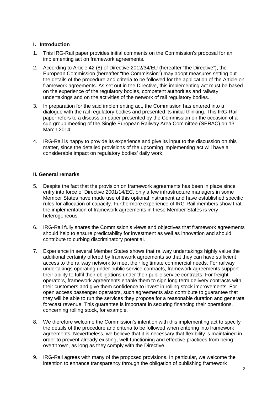#### **I. Introduction**

- 1. This IRG-Rail paper provides initial comments on the Commission's proposal for an implementing act on framework agreements.
- 2. According to Article 42 (8) of Directive 2012/34/EU (hereafter "the Directive"), the European Commission (hereafter "the Commission") may adopt measures setting out the details of the procedure and criteria to be followed for the application of the Article on framework agreements. As set out in the Directive, this implementing act must be based on the experience of the regulatory bodies, competent authorities and railway undertakings and on the activities of the network of rail regulatory bodies.
- 3. In preparation for the said implementing act, the Commission has entered into a dialogue with the rail regulatory bodies and presented its initial thinking. This IRG-Rail paper refers to a discussion paper presented by the Commission on the occasion of a sub-group meeting of the Single European Railway Area Committee (SERAC) on 13 March 2014.
- 4. IRG-Rail is happy to provide its experience and give its input to the discussion on this matter, since the detailed provisions of the upcoming implementing act will have a considerable impact on regulatory bodies' daily work.

#### **II. General remarks**

- 5. Despite the fact that the provision on framework agreements has been in place since entry into force of Directive 2001/14/EC, only a few infrastructure managers in some Member States have made use of this optional instrument and have established specific rules for allocation of capacity. Furthermore experience of IRG-Rail members show that the implementation of framework agreements in these Member States is very heterogeneous.
- 6. IRG-Rail fully shares the Commission's views and objectives that framework agreements should help to ensure predictability for investment as well as innovation and should contribute to curbing discriminatory potential.
- 7. Experience in several Member States shows that railway undertakings highly value the additional certainty offered by framework agreements so that they can have sufficient access to the railway network to meet their legitimate commercial needs. For railway undertakings operating under public service contracts, framework agreements support their ability to fulfil their obligations under their public service contracts. For freight operators, framework agreements enable them to sign long term delivery contracts with their customers and give them confidence to invest in rolling stock improvements. For open access passenger operators, such agreements also contribute to guarantee that they will be able to run the services they propose for a reasonable duration and generate forecast revenue. This guarantee is important in securing financing their operations, concerning rolling stock, for example.
- 8. We therefore welcome the Commission's intention with this implementing act to specify the details of the procedure and criteria to be followed when entering into framework agreements. Nevertheless, we believe that it is necessary that flexibility is maintained in order to prevent already existing, well-functioning and effective practices from being overthrown, as long as they comply with the Directive.
- 9. IRG-Rail agrees with many of the proposed provisions. In particular, we welcome the intention to enhance transparency through the obligation of publishing framework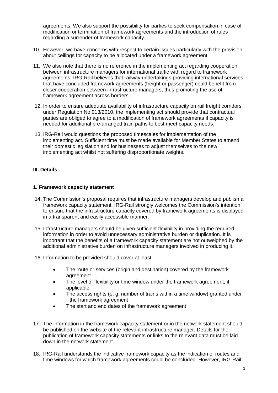agreements. We also support the possibility for parties to seek compensation in case of modification or termination of framework agreements and the introduction of rules regarding a surrender of framework capacity.

- 10. However, we have concerns with respect to certain issues particularly with the provision about ceilings for capacity to be allocated under a framework agreement.
- 11. We also note that there is no reference in the implementing act regarding cooperation between infrastructure managers for international traffic with regard to framework agreements. IRG-Rail believes that railway undertakings providing international services that have concluded framework agreements (freight or passenger) could benefit from closer cooperation between infrastructure managers, thus promoting the use of framework agreement across borders.
- 12. In order to ensure adequate availability of infrastructure capacity on rail freight corridors under Regulation No 913/2010, the implementing act should provide that contractual parties are obliged to agree to a modification of framework agreements if capacity is needed for additional pre-arranged train paths to best meet capacity needs.
- 13. IRG-Rail would questions the proposed timescales for implementation of the implementing act. Sufficient time must be made available for Member States to amend their domestic legislation and for businesses to adjust themselves to the new implementing act whilst not suffering disproportionate weights.

#### **III. Details**

#### **1. Framework capacity statement**

- 14. The Commission's proposal requires that infrastructure managers develop and publish a framework capacity statement. IRG-Rail strongly welcomes the Commission's intention to ensure that the infrastructure capacity covered by framework agreements is displayed in a transparent and easily accessible manner.
- 15. Infrastructure managers should be given sufficient flexibility in providing the required information in order to avoid unnecessary administrative burden or duplication. It is important that the benefits of a framework capacity statement are not outweighed by the additional administrative burden on infrastructure managers involved in producing it.
- 16. Information to be provided should cover at least:
	- The route or services (origin and destination) covered by the framework agreement
	- The level of flexibility or time window under the framework agreement, if applicable
	- The access rights (e. g. number of trains within a time window) granted under the framework agreement
	- The start and end dates of the framework agreement
- 17. The information in the framework capacity statement or in the network statement should be published on the website of the relevant infrastructure manager. Details for the publication of framework capacity statements or links to the relevant data must be laid down in the network statement.
- 18. IRG-Rail understands the indicative framework capacity as the indication of routes and time windows for which framework agreements could be concluded. However, IRG-Rail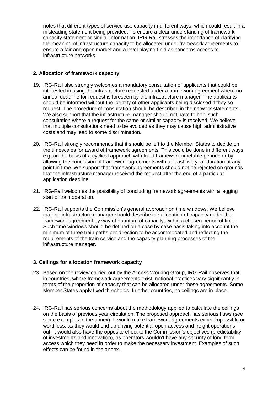notes that different types of service use capacity in different ways, which could result in a misleading statement being provided. To ensure a clear understanding of framework capacity statement or similar information, IRG-Rail stresses the importance of clarifying the meaning of infrastructure capacity to be allocated under framework agreements to ensure a fair and open market and a level playing field as concerns access to infrastructure networks.

#### **2. Allocation of framework capacity**

- 19. IRG-Rail also strongly welcomes a mandatory consultation of applicants that could be interested in using the infrastructure requested under a framework agreement where no annual deadline for request is foreseen by the infrastructure manager. The applicants should be informed without the identity of other applicants being disclosed if they so request. The procedure of consultation should be described in the network statements. We also support that the infrastructure manager should not have to hold such consultation where a request for the same or similar capacity is received. We believe that multiple consultations need to be avoided as they may cause high administrative costs and may lead to some discrimination.
- 20. IRG-Rail strongly recommends that it should be left to the Member States to decide on the timescales for award of framework agreements. This could be done in different ways, e.g. on the basis of a cyclical approach with fixed framework timetable periods or by allowing the conclusion of framework agreements with at least five year duration at any point in time. We support that framework agreements should not be rejected on grounds that the infrastructure manager received the request after the end of a particular application deadline.
- 21. IRG-Rail welcomes the possibility of concluding framework agreements with a lagging start of train operation.
- 22. IRG-Rail supports the Commission's general approach on time windows. We believe that the infrastructure manager should describe the allocation of capacity under the framework agreement by way of quantum of capacity, within a chosen period of time. Such time windows should be defined on a case by case basis taking into account the minimum of three train paths per direction to be accommodated and reflecting the requirements of the train service and the capacity planning processes of the infrastructure manager.

#### **3. Ceilings for allocation framework capacity**

- 23. Based on the review carried out by the Access Working Group, IRG-Rail observes that in countries, where framework agreements exist, national practices vary significantly in terms of the proportion of capacity that can be allocated under these agreements. Some Member States apply fixed thresholds. In other countries, no ceilings are in place.
- 24. IRG-Rail has serious concerns about the methodology applied to calculate the ceilings on the basis of previous year circulation. The proposed approach has serious flaws (see some examples in the annex). It would make framework agreements either impossible or worthless, as they would end up driving potential open access and freight operations out. It would also have the opposite effect to the Commission's objectives (predictability of investments and innovation), as operators wouldn't have any security of long term access which they need in order to make the necessary investment. Examples of such effects can be found in the annex.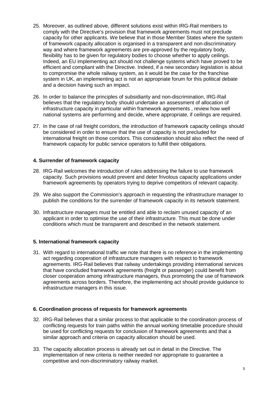- 25. Moreover, as outlined above, different solutions exist within IRG-Rail members to comply with the Directive's provision that framework agreements must not preclude capacity for other applicants. We believe that in those Member States where the system of framework capacity allocation is organised in a transparent and non-discriminatory way and where framework agreements are pre-approved by the regulatory body, flexibility has to be given for regulatory bodies to choose whether to apply ceilings. Indeed, an EU implementing act should not challenge systems which have proved to be efficient and compliant with the Directive. Indeed, if a new secondary legislation is about to compromise the whole railway system, as it would be the case for the franchise system in UK, an implementing act is not an appropriate forum for this political debate and a decision having such an impact.
- 26. In order to balance the principles of subsidiarity and non-discrimination, IRG-Rail believes that the regulatory body should undertake an assessment of allocation of infrastructure capacity in particular within framework agreements , review how well national systems are performing and decide, where appropriate, if ceilings are required.
- 27. In the case of rail freight corridors, the introduction of framework capacity ceilings should be considered in order to ensure that the use of capacity is not precluded for international freight on those corridors. This consideration should also reflect the need of framework capacity for public service operators to fulfill their obligations.

#### **4. Surrender of framework capacity**

- 28. IRG-Rail welcomes the introduction of rules addressing the failure to use framework capacity. Such provisions would prevent and deter frivolous capacity applications under framework agreements by operators trying to deprive competitors of relevant capacity.
- 29. We also support the Commission's approach in requesting the infrastructure manager to publish the conditions for the surrender of framework capacity in its network statement.
- 30. Infrastructure managers must be entitled and able to reclaim unused capacity of an applicant in order to optimise the use of their infrastructure. This must be done under conditions which must be transparent and described in the network statement.

#### **5. International framework capacity**

31. With regard to international traffic we note that there is no reference in the implementing act regarding cooperation of infrastructure managers with respect to framework agreements. IRG-Rail believes that railway undertakings providing international services that have concluded framework agreements (freight or passenger) could benefit from closer cooperation among infrastructure managers, thus promoting the use of framework agreements across borders. Therefore, the implementing act should provide guidance to infrastructure managers in this issue.

#### **6. Coordination process of requests for framework agreements**

- 32. IRG-Rail believes that a similar process to that applicable to the coordination process of conflicting requests for train paths within the annual working timetable procedure should be used for conflicting requests for conclusion of framework agreements and that a similar approach and criteria on capacity allocation should be used.
- 33. The capacity allocation process is already set out in detail in the Directive. The implementation of new criteria is neither needed nor appropriate to guarantee a competitive and non-discriminatory railway market.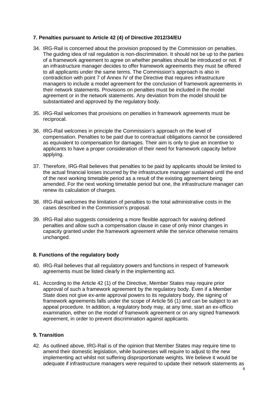#### **7. Penalties pursuant to Article 42 (4) of Directive 2012/34/EU**

- 34. IRG-Rail is concerned about the provision proposed by the Commission on penalties. The guiding idea of rail regulation is non-discrimination. It should not be up to the parties of a framework agreement to agree on whether penalties should be introduced or not. If an infrastructure manager decides to offer framework agreements they must be offered to all applicants under the same terms. The Commission's approach is also in contradiction with point 7 of Annex IV of the Directive that requires infrastructure managers to include a model agreement for the conclusion of framework agreements in their network statements. Provisions on penalties must be included in the model agreement or in the network statements. Any deviation from the model should be substantiated and approved by the regulatory body.
- 35. IRG-Rail welcomes that provisions on penalties in framework agreements must be reciprocal.
- 36. IRG-Rail welcomes in principle the Commission's approach on the level of compensation. Penalties to be paid due to contractual obligations cannot be considered as equivalent to compensation for damages. Their aim is only to give an incentive to applicants to have a proper consideration of their need for framework capacity before applying.
- 37. Therefore, IRG-Rail believes that penalties to be paid by applicants should be limited to the actual financial losses incurred by the infrastructure manager sustained until the end of the next working timetable period as a result of the existing agreement being amended. For the next working timetable period but one, the infrastructure manager can renew its calculation of charges.
- 38. IRG-Rail welcomes the limitation of penalties to the total administrative costs in the cases described in the Commission's proposal.
- 39. IRG-Rail also suggests considering a more flexible approach for waiving defined penalties and allow such a compensation clause in case of only minor changes in capacity granted under the framework agreement while the service otherwise remains unchanged.

#### **8. Functions of the regulatory body**

- 40. IRG-Rail believes that all regulatory powers and functions in respect of framework agreements must be listed clearly in the implementing act.
- 41. According to the Article 42 (1) of the Directive, Member States may require prior approval of such a framework agreement by the regulatory body. Even if a Member State does not give ex-ante approval powers to its regulatory body, the signing of framework agreements falls under the scope of Article 56 (1) and can be subject to an appeal procedure. In addition, a regulatory body may, at any time, start an ex-officio examination, either on the model of framework agreement or on any signed framework agreement, in order to prevent discrimination against applicants.

#### **9. Transition**

42. As outlined above, IRG-Rail is of the opinion that Member States may require time to amend their domestic legislation, while businesses will require to adjust to the new implementing act whilst not suffering disproportionate weights. We believe it would be adequate if infrastructure managers were required to update their network statements as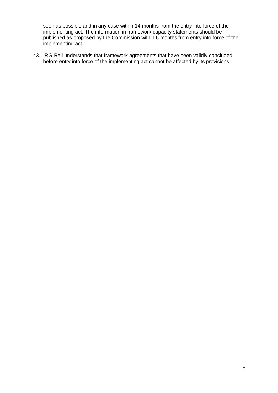soon as possible and in any case within 14 months from the entry into force of the implementing act. The information in framework capacity statements should be published as proposed by the Commission within 6 months from entry into force of the implementing act.

43. IRG-Rail understands that framework agreements that have been validly concluded before entry into force of the implementing act cannot be affected by its provisions.